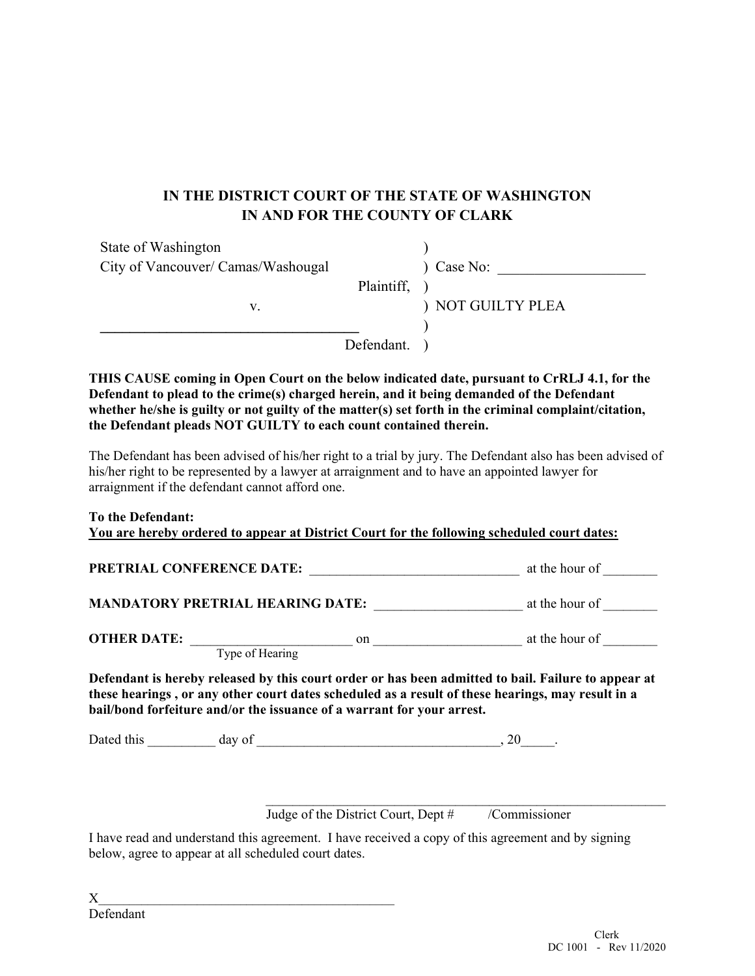## **IN THE DISTRICT COURT OF THE STATE OF WASHINGTON IN AND FOR THE COUNTY OF CLARK**

| State of Washington                |            |                   |
|------------------------------------|------------|-------------------|
| City of Vancouver/ Camas/Washougal |            | Case No:          |
|                                    | Plaintiff, |                   |
| v.                                 |            | ) NOT GUILTY PLEA |
|                                    |            |                   |
|                                    | Defendant. |                   |

**THIS CAUSE coming in Open Court on the below indicated date, pursuant to CrRLJ 4.1, for the Defendant to plead to the crime(s) charged herein, and it being demanded of the Defendant whether he/she is guilty or not guilty of the matter(s) set forth in the criminal complaint/citation, the Defendant pleads NOT GUILTY to each count contained therein.** 

The Defendant has been advised of his/her right to a trial by jury. The Defendant also has been advised of his/her right to be represented by a lawyer at arraignment and to have an appointed lawyer for arraignment if the defendant cannot afford one.

|  | To the Defendant: |  |
|--|-------------------|--|
|  |                   |  |

| <b>PRETRIAL CONFERENCE DATE:</b>        |    | at the hour of |
|-----------------------------------------|----|----------------|
| <b>MANDATORY PRETRIAL HEARING DATE:</b> |    | at the hour of |
| <b>OTHER DATE:</b>                      | on | at the hour of |

**these hearings , or any other court dates scheduled as a result of these hearings, may result in a bail/bond forfeiture and/or the issuance of a warrant for your arrest.** 

Dated this day of the contract of the contract of the contract of the contract of the contract of the contract of the contract of the contract of the contract of the contract of the contract of the contract of the contract

Judge of the District Court, Dept # /Commissioner

 $\mathcal{L}_\text{max}$  and the contract of the contract of the contract of the contract of the contract of the contract of

I have read and understand this agreement. I have received a copy of this agreement and by signing below, agree to appear at all scheduled court dates.